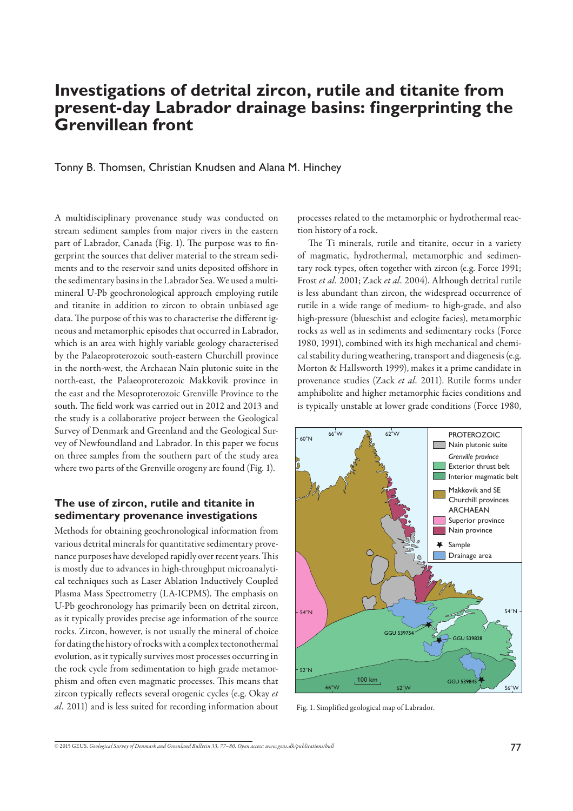# **Investigations of detrital zircon, rutile and titanite from present-day Labrador drainage basins: fingerprinting the Grenvillean front**

Tonny B. Thomsen, Christian Knudsen and Alana M. Hinchey

A multidisciplinary provenance study was conducted on stream sediment samples from major rivers in the eastern part of Labrador, Canada (Fig. 1). The purpose was to fingerprint the sources that deliver material to the stream sediments and to the reservoir sand units deposited offshore in the sedimentary basins in the Labrador Sea. We used a multimineral U-Pb geochronological approach employing rutile and titanite in addition to zircon to obtain unbiased age data. The purpose of this was to characterise the different igneous and metamorphic episodes that occurred in Labrador, which is an area with highly variable geology characterised by the Palaeoproterozoic south-eastern Churchill province in the north-west, the Archaean Nain plutonic suite in the north-east, the Palaeoproterozoic Makkovik province in the east and the Mesoproterozoic Grenville Province to the south. The field work was carried out in 2012 and 2013 and the study is a collaborative project between the Geological Survey of Denmark and Greenland and the Geological Survey of Newfoundland and Labrador. In this paper we focus on three samples from the southern part of the study area where two parts of the Grenville orogeny are found (Fig. 1).

#### **The use of zircon, rutile and titanite in sedimentary provenance investigations**

Methods for obtaining geochronological information from various detrital minerals for quantitative sedimentary provenance purposes have developed rapidly over recent years. This is mostly due to advances in high-throughput microanalytical techniques such as Laser Ablation Inductively Coupled Plasma Mass Spectrometry (LA-ICPMS). The emphasis on U-Pb geochronology has primarily been on detrital zircon, as it typically provides precise age information of the source rocks. Zircon, however, is not usually the mineral of choice for dating the history of rocks with a complex tectonothermal evolution, as it typically survives most processes occurring in the rock cycle from sedimentation to high grade metamorphism and often even magmatic processes. This means that zircon typically reflects several orogenic cycles (e.g. Okay et *al.* 2011) and is less suited for recording information about processes related to the metamorphic or hydrothermal reaction history of a rock.

The Ti minerals, rutile and titanite, occur in a variety of magmatic, hydrothermal, metamorphic and sedimentary rock types, often together with zircon (e.g. Force 1991; Frost *et al.* 2001; Zack *et al.* 2004). Although detrital rutile is less abundant than zircon, the widespread occurrence of rutile in a wide range of medium- to high-grade, and also high-pressure (blueschist and eclogite facies), metamorphic rocks as well as in sediments and sedimentary rocks (Force 1980, 1991), combined with its high mechanical and chemical stability during weathering, transport and diagenesis (e.g. Morton & Hallsworth 1999), makes it a prime candidate in provenance studies (Zack *et al.* 2011). Rutile forms under amphibolite and higher metamorphic facies conditions and is typically unstable at lower grade conditions (Force 1980,



Fig. 1. Simplified geological map of Labrador.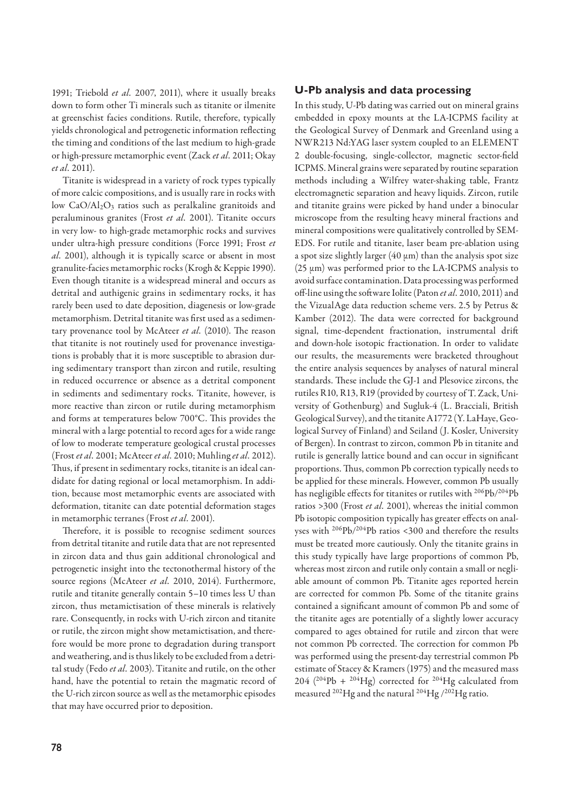1991; Triebold *et al.* 2007, 2011), where it usually breaks down to form other Ti minerals such as titanite or ilmenite at greenschist facies conditions. Rutile, therefore, typically yields chronological and petrogenetic information reflecting the timing and conditions of the last medium to high-grade or high-pressure metamorphic event (Zack *et al.* 2011; Okay *et al.* 2011).

Titanite is widespread in a variety of rock types typically of more calcic compositions, and is usually rare in rocks with low CaO/Al<sub>2</sub>O<sub>3</sub> ratios such as peralkaline granitoids and peraluminous granites (Frost *et al.* 2001). Titanite occurs in very low- to high-grade metamorphic rocks and survives under ultra-high pressure conditions (Force 1991; Frost *et al.* 2001), although it is typically scarce or absent in most granulite-facies metamorphic rocks (Krogh & Keppie 1990). Even though titanite is a widespread mineral and occurs as detrital and authigenic grains in sedimentary rocks, it has rarely been used to date deposition, diagenesis or low-grade metamorphism. Detrital titanite was first used as a sedimentary provenance tool by McAteer *et al.* (2010). The reason that titanite is not routinely used for provenance investigations is probably that it is more susceptible to abrasion during sedimentary transport than zircon and rutile, resulting in reduced occurrence or absence as a detrital component in sediments and sedimentary rocks. Titanite, however, is more reactive than zircon or rutile during metamorphism and forms at temperatures below 700°C. This provides the mineral with a large potential to record ages for a wide range of low to moderate temperature geological crustal processes (Frost *et al.* 2001; McAteer *et al.* 2010; Muhling *et al.* 2012). Thus, if present in sedimentary rocks, titanite is an ideal candidate for dating regional or local metamorphism. In addition, because most metamorphic events are associated with deformation, titanite can date potential deformation stages in metamorphic terranes (Frost *et al.* 2001).

Therefore, it is possible to recognise sediment sources from detrital titanite and rutile data that are not represented in zircon data and thus gain additional chronological and petrogenetic insight into the tectonothermal history of the source regions (McAteer *et al.* 2010, 2014). Furthermore, rutile and titanite generally contain 5–10 times less U than zircon, thus metamictisation of these minerals is relatively rare. Consequently, in rocks with U-rich zircon and titanite or rutile, the zircon might show metamictisation, and therefore would be more prone to degradation during transport and weathering, and is thus likely to be excluded from a detrital study (Fedo *et al.* 2003). Titanite and rutile, on the other hand, have the potential to retain the magmatic record of the U-rich zircon source as well as the metamorphic episodes that may have occurred prior to deposition.

## **U-Pb analysis and data processing**

In this study, U-Pb dating was carried out on mineral grains embedded in epoxy mounts at the LA-ICPMS facility at the Geological Survey of Denmark and Greenland using a NWR213 Nd:YAG laser system coupled to an ELEMENT 2 double-focusing, single-collector, magnetic sector-field ICPMS. Mineral grains were separated by routine separation methods including a Wilfrey water-shaking table, Frantz electromagnetic separation and heavy liquids. Zircon, rutile and titanite grains were picked by hand under a binocular microscope from the resulting heavy mineral fractions and mineral compositions were qualitatively controlled by SEM-EDS. For rutile and titanite, laser beam pre-ablation using a spot size slightly larger (40  $\mu$ m) than the analysis spot size (25 μm) was performed prior to the LA-ICPMS analysis to avoid surface contamination. Data processing was performed off -line using the soft ware Iolite (Paton *et al.* 2010, 2011) and the VizualAge data reduction scheme vers. 2.5 by Petrus & Kamber (2012). The data were corrected for background signal, time-dependent fractionation, instrumental drift and down-hole isotopic fractionation. In order to validate our results, the measurements were bracketed throughout the entire analysis sequences by analyses of natural mineral standards. These include the GJ-1 and Plesovice zircons, the rutiles R10, R13, R19 (provided by courtesy of T. Zack, University of Gothenburg) and Sugluk-4 (L. Bracciali, British Geological Survey), and the titanite A1772 (Y. LaHaye, Geological Survey of Finland) and Seiland (J. Kosler, University of Bergen). In contrast to zircon, common Pb in titanite and rutile is generally lattice bound and can occur in significant proportions. Thus, common Pb correction typically needs to be applied for these minerals. However, common Pb usually has negligible effects for titanites or rutiles with <sup>206</sup>Pb/<sup>204</sup>Pb ratios >300 (Frost *et al.* 2001), whereas the initial common Pb isotopic composition typically has greater effects on analyses with 206Pb/204Pb ratios <300 and therefore the results must be treated more cautiously. Only the titanite grains in this study typically have large proportions of common Pb, whereas most zircon and rutile only contain a small or negliable amount of common Pb. Titanite ages reported herein are corrected for common Pb. Some of the titanite grains contained a significant amount of common Pb and some of the titanite ages are potentially of a slightly lower accuracy compared to ages obtained for rutile and zircon that were not common Pb corrected. The correction for common Pb was performed using the present-day terrestrial common Pb estimate of Stacey & Kramers (1975) and the measured mass 204 ( $^{204}Pb + ^{204}Hg$ ) corrected for  $^{204}Hg$  calculated from measured <sup>202</sup>Hg and the natural <sup>204</sup>Hg /<sup>202</sup>Hg ratio.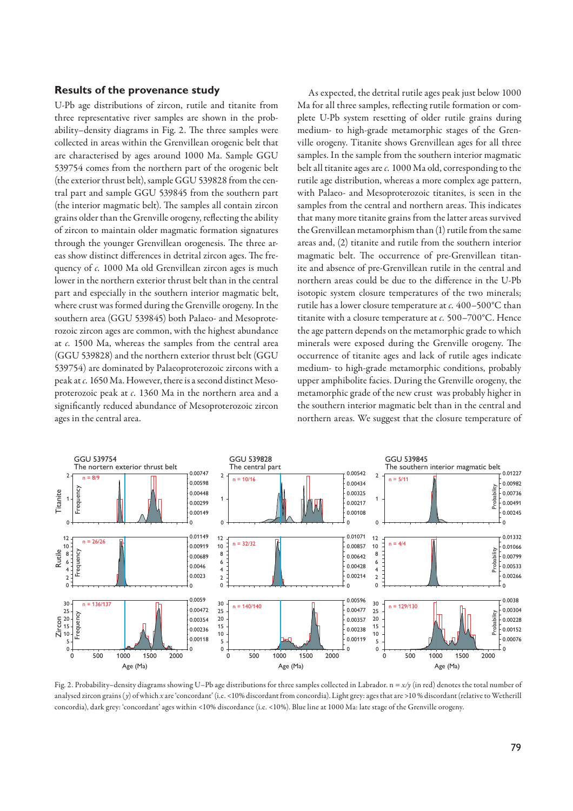#### **Results of the provenance study**

U-Pb age distributions of zircon, rutile and titanite from three representative river samples are shown in the probability-density diagrams in Fig. 2. The three samples were collected in areas within the Grenvillean orogenic belt that are characterised by ages around 1000 Ma. Sample GGU 539754 comes from the northern part of the orogenic belt (the exterior thrust belt), sample GGU 539828 from the central part and sample GGU 539845 from the southern part (the interior magmatic belt). The samples all contain zircon grains older than the Grenville orogeny, reflecting the ability of zircon to maintain older magmatic formation signatures through the younger Grenvillean orogenesis. The three areas show distinct differences in detrital zircon ages. The frequency of  $c$ . 1000 Ma old Grenvillean zircon ages is much lower in the northern exterior thrust belt than in the central part and especially in the southern interior magmatic belt, where crust was formed during the Grenville orogeny. In the southern area (GGU 539845) both Palaeo- and Mesoproterozoic zircon ages are common, with the highest abundance at *c.* 1500 Ma, whereas the samples from the central area (GGU 539828) and the northern exterior thrust belt (GGU 539754) are dominated by Palaeoproterozoic zircons with a peak at *c.* 1650 Ma. However, there is a second distinct Mesoproterozoic peak at *c.* 1360 Ma in the northern area and a significantly reduced abundance of Mesoproterozoic zircon ages in the central area.

As expected, the detrital rutile ages peak just below 1000 Ma for all three samples, reflecting rutile formation or complete U-Pb system resetting of older rutile grains during medium- to high-grade metamorphic stages of the Grenville orogeny. Titanite shows Grenvillean ages for all three samples. In the sample from the southern interior magmatic belt all titanite ages are *c.* 1000 Ma old, corresponding to the rutile age distribution, whereas a more complex age pattern, with Palaeo- and Mesoproterozoic titanites, is seen in the samples from the central and northern areas. This indicates that many more titanite grains from the latter areas survived the Grenvillean metamorphism than (1) rutile from the same areas and, (2) titanite and rutile from the southern interior magmatic belt. The occurrence of pre-Grenvillean titanite and absence of pre-Grenvillean rutile in the central and northern areas could be due to the difference in the U-Pb isotopic system closure temperatures of the two minerals; rutile has a lower closure temperature at *c.* 400–500°C than titanite with a closure temperature at *c.* 500–700°C. Hence the age pattern depends on the metamorphic grade to which minerals were exposed during the Grenville orogeny. The occurrence of titanite ages and lack of rutile ages indicate medium- to high-grade metamorphic conditions, probably upper amphibolite facies. During the Grenville orogeny, the metamorphic grade of the new crust was probably higher in the southern interior magmatic belt than in the central and northern areas. We suggest that the closure temperature of



Fig. 2. Probability–density diagrams showing U–Pb age distributions for three samples collected in Labrador. n = *x/y* (in red) denotes the total number of analysed zircon grains (y) of which *x* are 'concordant' (i.e. <10% discordant from concordia). Light grey: ages that are >10 % discordant (relative to Wetherill concordia), dark grey: 'concordant' ages within <10% discordance (i.e. <10%). Blue line at 1000 Ma: late stage of the Grenville orogeny.